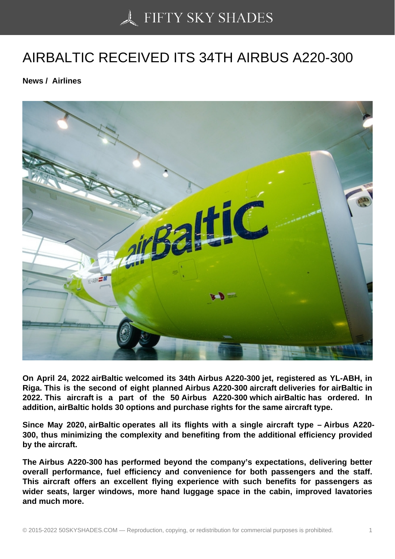## [AIRBALTIC RECEIVED](https://50skyshades.com) ITS 34TH AIRBUS A220-300

News / Airlines

On April 24, 2022 airBaltic welcomed its 34th Airbus A220-300 jet, registered as YL-ABH, in Riga. This is the second of eight planned Airbus A220-300 aircraft deliveries for airBaltic in 2022. This aircraft is a part of the 50 Airbus A220-300 which airBaltic has ordered. In addition, airBaltic holds 30 options and purchase rights for the same aircraft type.

Since May 2020, airBaltic operates all its flights with a single aircraft type – Airbus A220- 300, thus minimizing the complexity and benefiting from the additional efficiency provided by the aircraft.

The Airbus A220-300 has performed beyond the company's expectations, delivering better overall performance, fuel efficiency and convenience for both passengers and the staff. This aircraft offers an excellent flying experience with such benefits for passengers as wider seats, larger windows, more hand luggage space in the cabin, improved lavatories and much more.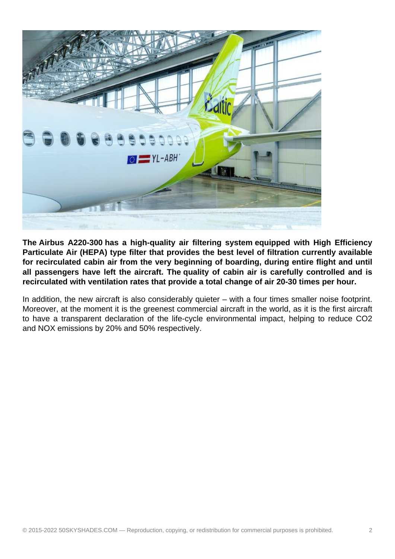

**The Airbus A220-300 has a high-quality air filtering system equipped with High Efficiency Particulate Air (HEPA) type filter that provides the best level of filtration currently available for recirculated cabin air from the very beginning of boarding, during entire flight and until all passengers have left the aircraft. The quality of cabin air is carefully controlled and is recirculated with ventilation rates that provide a total change of air 20-30 times per hour.** 

In addition, the new aircraft is also considerably quieter – with a four times smaller noise footprint. Moreover, at the moment it is the greenest commercial aircraft in the world, as it is the first aircraft to have a transparent declaration of the life-cycle environmental impact, helping to reduce CO2 and NOX emissions by 20% and 50% respectively.